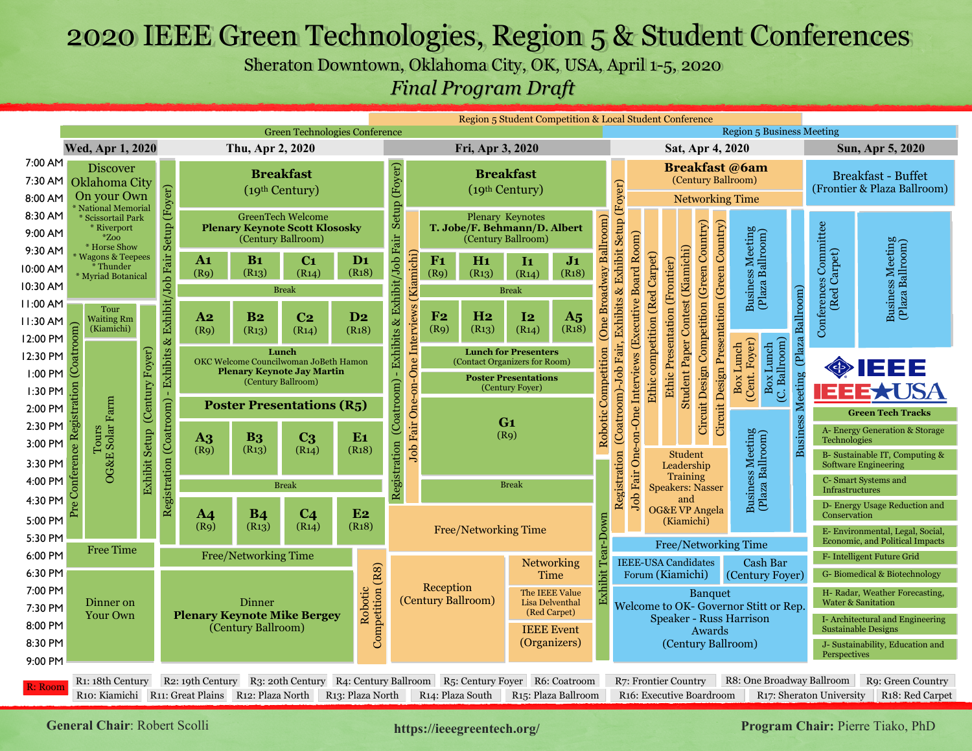# 2020 IEEE Green Technologies, Region 5 & Student Conferences

Sheraton Downtown, Oklahoma City, OK, USA, April 1-5, 2020

*Final Program Draft*

|                         |                                                  |                               |                                                                     |                |                      |                                                                                       |                    |                                                                                          |                  |                            | Region 5 Student Competition & Local Student Conference      |                                  |                         |                                                                                                                             |                                |                                                                   |                                            |                                             |                                       |                                          |                                       |                                                               |
|-------------------------|--------------------------------------------------|-------------------------------|---------------------------------------------------------------------|----------------|----------------------|---------------------------------------------------------------------------------------|--------------------|------------------------------------------------------------------------------------------|------------------|----------------------------|--------------------------------------------------------------|----------------------------------|-------------------------|-----------------------------------------------------------------------------------------------------------------------------|--------------------------------|-------------------------------------------------------------------|--------------------------------------------|---------------------------------------------|---------------------------------------|------------------------------------------|---------------------------------------|---------------------------------------------------------------|
|                         |                                                  |                               |                                                                     |                |                      | <b>Green Technologies Conference</b>                                                  |                    |                                                                                          |                  |                            |                                                              |                                  |                         |                                                                                                                             |                                |                                                                   |                                            |                                             | <b>Region 5 Business Meeting</b>      |                                          |                                       |                                                               |
|                         | Wed, Apr 1, 2020                                 |                               |                                                                     |                | Thu, Apr 2, 2020     |                                                                                       |                    |                                                                                          |                  | Fri, Apr 3, 2020           |                                                              |                                  |                         |                                                                                                                             |                                | Sat, Apr 4, 2020                                                  |                                            |                                             |                                       |                                          |                                       | Sun, Apr 5, 2020                                              |
| 7:00 AM                 | <b>Discover</b>                                  |                               |                                                                     |                |                      | <b>Breakfast</b>                                                                      |                    |                                                                                          |                  |                            | <b>Breakfast</b>                                             |                                  |                         |                                                                                                                             |                                |                                                                   |                                            |                                             | <b>Breakfast</b> @6am                 |                                          |                                       | <b>Breakfast - Buffet</b>                                     |
|                         | 7:30 AM Oklahoma City                            |                               |                                                                     |                |                      | (19th Century)                                                                        |                    |                                                                                          |                  |                            | (19th Century)                                               |                                  |                         |                                                                                                                             |                                |                                                                   |                                            |                                             | (Century Ballroom)                    |                                          |                                       | (Frontier & Plaza Ballroom)                                   |
| 8:00 AM                 | On your Own<br>* National Memorial               |                               |                                                                     |                |                      |                                                                                       |                    |                                                                                          |                  |                            |                                                              |                                  |                         |                                                                                                                             |                                |                                                                   |                                            |                                             | <b>Networking Time</b>                |                                          |                                       |                                                               |
| 8:30 AM                 | * Scissortail Park<br>* Riverport                |                               |                                                                     |                |                      | <b>GreenTech Welcome</b>                                                              |                    |                                                                                          |                  |                            | <b>Plenary Keynotes</b>                                      |                                  |                         |                                                                                                                             |                                |                                                                   |                                            |                                             |                                       |                                          |                                       |                                                               |
| 9:00 AM                 | $*Zoo$                                           |                               |                                                                     |                |                      | <b>Plenary Keynote Scott Klososky</b><br>(Century Ballroom)                           |                    |                                                                                          |                  |                            | T. Jobe/F. Behmann/D. Albert<br>(Century Ballroom)           |                                  |                         |                                                                                                                             |                                |                                                                   |                                            |                                             |                                       |                                          |                                       |                                                               |
| 9:30 AM                 | * Horse Show<br><b>Wagons &amp; Teepees</b>      |                               |                                                                     | A1             | B <sub>1</sub>       | C <sub>1</sub>                                                                        | $\mathbf{D_1}$     |                                                                                          | F1               | H1                         | $\mathbf{I}$                                                 |                                  |                         |                                                                                                                             |                                |                                                                   |                                            |                                             |                                       |                                          |                                       |                                                               |
| 10:00 AM                | * Thunder<br>* Myriad Botanical                  |                               |                                                                     | (R9)           | (R13)                | (R14)                                                                                 | (R18)              |                                                                                          | (R9)             | (R <sub>13</sub> )         | (R14)                                                        | J <sub>1</sub><br>(R18)          |                         |                                                                                                                             |                                |                                                                   |                                            |                                             |                                       |                                          |                                       |                                                               |
| 10:30 AM                |                                                  |                               |                                                                     |                |                      | <b>Break</b>                                                                          |                    | - Exhibits & Exhibit/Job Fair Setup (Foyer)<br>Job Fair One-on-One Interviews (Kiamichi) |                  |                            | <b>Break</b>                                                 |                                  | (One Broadway Ballroom) |                                                                                                                             | Ethic competition (Red Carpet) | Student Paper Contest (Kiamichi)<br>Ethic Presentation (Frontier) | Circuit Design Competition (Green Country) | Circuit Design Presentation (Green Country) | Business Meeting<br>(Plaza Ballroom)  |                                          | Conferences Committee<br>(Red Carpet) | Business Meeting<br>(Plaza Ballroom)                          |
| 11:00 AM                | Tour                                             |                               |                                                                     |                |                      |                                                                                       |                    |                                                                                          |                  |                            |                                                              |                                  |                         |                                                                                                                             |                                |                                                                   |                                            |                                             |                                       |                                          |                                       |                                                               |
| l I:30 AM               | <b>Waiting Rm</b>                                |                               |                                                                     | $\bf{A2}$      | B <sub>2</sub>       | C <sub>2</sub>                                                                        | D <sub>2</sub>     |                                                                                          | F <sub>2</sub>   | H <sub>2</sub>             | I <sub>2</sub>                                               | A <sub>5</sub>                   |                         |                                                                                                                             |                                |                                                                   |                                            |                                             |                                       |                                          |                                       |                                                               |
| 12:00 PM                | (Kiamichi)<br>$\overline{\text{dom}}$            |                               |                                                                     | (Rq)           | (R13)                | (R14)                                                                                 | (R <sub>18</sub> ) |                                                                                          | (R9)             | (R <sub>13</sub> )         | (R14)                                                        | (R <sub>18</sub> )               |                         |                                                                                                                             |                                |                                                                   |                                            |                                             |                                       |                                          |                                       |                                                               |
| 12:30 PM                |                                                  |                               |                                                                     |                |                      | Lunch<br>OKC Welcome Councilwoman JoBeth Hamon                                        |                    |                                                                                          |                  |                            | <b>Lunch for Presenters</b>                                  |                                  |                         |                                                                                                                             |                                |                                                                   |                                            |                                             | Box Lunch<br>Box Lunch                |                                          |                                       |                                                               |
| 1:00 PM                 |                                                  |                               |                                                                     |                |                      | <b>Plenary Keynote Jay Martin</b>                                                     |                    |                                                                                          |                  |                            | (Contact Organizers for Room)<br><b>Poster Presentations</b> |                                  |                         |                                                                                                                             |                                |                                                                   |                                            |                                             |                                       |                                          |                                       | <b>ONEEE</b>                                                  |
| $1:30$ PM $\frac{5}{6}$ |                                                  |                               |                                                                     |                |                      | (Century Ballroom)                                                                    |                    | (Coatroom)                                                                               |                  |                            | (Century Foyer)                                              |                                  |                         |                                                                                                                             |                                |                                                                   |                                            |                                             | (C. Ballroom)<br>(Cent. Foyer)        |                                          | E                                     | <b>EE*USA</b>                                                 |
| 2:00 PM                 |                                                  |                               |                                                                     |                |                      | <b>Poster Presentations (R5)</b>                                                      |                    |                                                                                          |                  |                            |                                                              |                                  |                         |                                                                                                                             |                                |                                                                   |                                            |                                             |                                       |                                          |                                       |                                                               |
| 2:30 PM                 | ်မ္ဘာ                                            |                               |                                                                     |                |                      |                                                                                       |                    |                                                                                          |                  |                            | G <sub>1</sub>                                               |                                  |                         |                                                                                                                             |                                |                                                                   |                                            |                                             |                                       |                                          |                                       | <b>Green Tech Tracks</b>                                      |
| 3:00 PM                 | OG&E Solar Farm<br>Tours                         | Exhibit Setup (Century Foyer) |                                                                     | $\mathbf{A}$   | <b>B3</b>            | C <sub>3</sub>                                                                        | E1                 |                                                                                          |                  |                            | (R9)                                                         |                                  | Robotic Competition     |                                                                                                                             |                                |                                                                   |                                            |                                             |                                       | <b>Business Meeting (Plaza Ballroom)</b> | Technologies                          | A- Energy Generation & Storage                                |
|                         | ်မ                                               |                               |                                                                     | (Rq)           | $(R_{13})$           | (R14)                                                                                 | (R18)              |                                                                                          |                  |                            |                                                              |                                  |                         |                                                                                                                             |                                | <b>Student</b>                                                    |                                            |                                             |                                       |                                          |                                       | B- Sustainable IT, Computing &                                |
| 3:30 PM                 |                                                  |                               |                                                                     |                |                      |                                                                                       |                    |                                                                                          |                  |                            |                                                              |                                  |                         |                                                                                                                             |                                | Leadership<br>Training                                            |                                            |                                             |                                       |                                          |                                       | <b>Software Engineering</b>                                   |
| 4:00 PM                 |                                                  |                               | Registration (Coatroom) - Exhibits & Exhibit/Job Fair Setup (Foyer) |                |                      | <b>Break</b>                                                                          |                    | Registration                                                                             |                  |                            | <b>Break</b>                                                 |                                  |                         | Registration (Coatroom)-Job Fair, Exhibits & Exhibit Setup (Foyer)<br>Job Fair One-on-One Interviews (Executive Board Room) |                                | <b>Speakers: Nasser</b>                                           |                                            |                                             | Business Meeting<br>(Plaza Ballroom)  |                                          | Infrastructures                       | C- Smart Systems and                                          |
| 4:30 PM                 | ن<br>و                                           |                               |                                                                     | A <sub>4</sub> | <b>B4</b>            | C <sub>4</sub>                                                                        | E2                 |                                                                                          |                  |                            |                                                              |                                  |                         |                                                                                                                             |                                | and<br><b>OG&amp;E VP Angela</b>                                  |                                            |                                             |                                       |                                          |                                       | D- Energy Usage Reduction and                                 |
| 5:00 PM                 |                                                  |                               |                                                                     | (R9)           | (R <sub>13</sub> )   | (R14)                                                                                 | (R18)              |                                                                                          |                  |                            | Free/Networking Time                                         |                                  |                         |                                                                                                                             |                                | (Kiamichi)                                                        |                                            |                                             |                                       |                                          | Conservation                          | E- Environmental, Legal, Social,                              |
| 5:30 PM                 |                                                  |                               |                                                                     |                |                      |                                                                                       |                    |                                                                                          |                  |                            |                                                              |                                  |                         |                                                                                                                             |                                |                                                                   |                                            |                                             | Free/Networking Time                  |                                          |                                       | <b>Economic, and Political Impacts</b>                        |
| 6:00 PM                 | <b>Free Time</b>                                 |                               |                                                                     |                | Free/Networking Time |                                                                                       |                    |                                                                                          |                  |                            |                                                              | Networking                       |                         |                                                                                                                             | <b>IEEE-USA Candidates</b>     |                                                                   |                                            |                                             | Cash Bar                              |                                          |                                       | F- Intelligent Future Grid                                    |
| 6:30 PM                 |                                                  |                               |                                                                     |                |                      |                                                                                       |                    |                                                                                          |                  |                            |                                                              | Time                             | Exhibit Tear-Down       |                                                                                                                             | Forum (Kiamichi)               |                                                                   |                                            |                                             | (Century Foyer)                       |                                          |                                       | G-Biomedical & Biotechnology                                  |
| 7:00 PM                 |                                                  |                               |                                                                     |                |                      |                                                                                       |                    |                                                                                          | Reception        | (Century Ballroom)         |                                                              | The IEEE Value                   |                         |                                                                                                                             |                                |                                                                   | Banquet                                    |                                             |                                       |                                          |                                       | H- Radar, Weather Forecasting,                                |
| 7:30 PM                 | Dinner on<br><b>Your Own</b>                     |                               |                                                                     |                | <b>Dinner</b>        | <b>Plenary Keynote Mike Bergey</b>                                                    | Robotic            |                                                                                          |                  |                            |                                                              | Lisa Delventhal<br>(Red Carpet)  |                         |                                                                                                                             |                                |                                                                   |                                            |                                             | Welcome to OK- Governor Stitt or Rep. |                                          |                                       | <b>Water &amp; Sanitation</b>                                 |
| 8:00 PM                 |                                                  |                               |                                                                     |                | (Century Ballroom)   |                                                                                       | Competition (R8)   |                                                                                          |                  |                            |                                                              | <b>IEEE</b> Event                |                         |                                                                                                                             |                                |                                                                   | Awards                                     |                                             | <b>Speaker - Russ Harrison</b>        |                                          |                                       | I-Architectural and Engineering<br><b>Sustainable Designs</b> |
| 8:30 PM                 |                                                  |                               |                                                                     |                |                      |                                                                                       |                    |                                                                                          |                  |                            |                                                              | (Organizers)                     |                         |                                                                                                                             |                                |                                                                   |                                            |                                             | (Century Ballroom)                    |                                          |                                       | J- Sustainability, Education and                              |
| 9:00 PM                 |                                                  |                               |                                                                     |                |                      |                                                                                       |                    |                                                                                          |                  |                            |                                                              |                                  |                         |                                                                                                                             |                                |                                                                   |                                            |                                             |                                       |                                          | Perspectives                          |                                                               |
|                         | R1: 18th Century                                 |                               |                                                                     |                |                      | R2: 19th Century R3: 20th Century R4: Century Ballroom R5: Century Foyer R6: Coatroom |                    |                                                                                          |                  |                            |                                                              |                                  |                         |                                                                                                                             | R7: Frontier Country           |                                                                   |                                            |                                             | R8: One Broadway Ballroom             |                                          |                                       | R9: Green Country                                             |
| R: Room                 | R10: Kiamichi R11: Great Plains R12: Plaza North |                               |                                                                     |                |                      |                                                                                       | R13: Plaza North   |                                                                                          | R14: Plaza South |                            |                                                              | R <sub>15</sub> : Plaza Ballroom |                         |                                                                                                                             | R16: Executive Boardroom       |                                                                   |                                            |                                             |                                       |                                          | R <sub>17</sub> : Sheraton University | R18: Red Carpet                                               |
|                         |                                                  |                               |                                                                     |                |                      |                                                                                       |                    |                                                                                          |                  |                            |                                                              |                                  |                         |                                                                                                                             |                                |                                                                   |                                            |                                             |                                       |                                          |                                       |                                                               |
|                         | <b>General Chair: Robert Scolli</b>              |                               |                                                                     |                |                      |                                                                                       |                    |                                                                                          |                  | https://ieeegreentech.org/ |                                                              |                                  |                         |                                                                                                                             |                                |                                                                   |                                            |                                             |                                       |                                          |                                       | Program Chair: Pierre Tiako, PhD                              |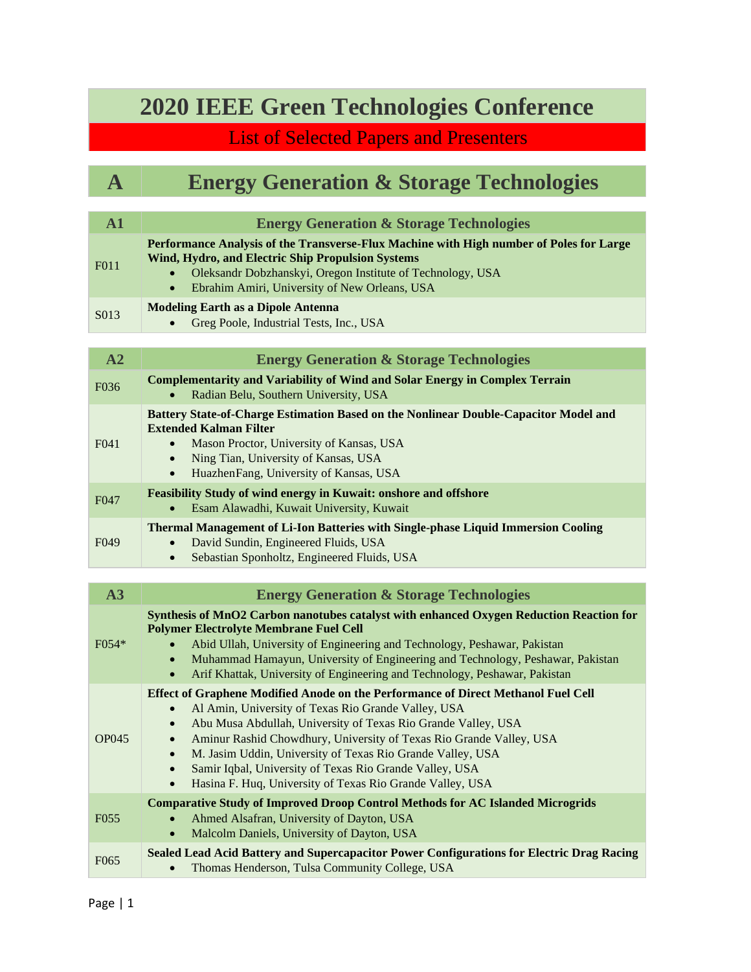### **2020 IEEE Green Technologies Conference**

#### List of Selected Papers and Presenters

| $\mathbf A$ |                                                     |
|-------------|-----------------------------------------------------|
|             | <b>Energy Generation &amp; Storage Technologies</b> |
|             |                                                     |

| ${\bf A1}$   | <b>Energy Generation &amp; Storage Technologies</b>                                                                                                                                                                                                                                                                                                                                                                                                                                                                               |
|--------------|-----------------------------------------------------------------------------------------------------------------------------------------------------------------------------------------------------------------------------------------------------------------------------------------------------------------------------------------------------------------------------------------------------------------------------------------------------------------------------------------------------------------------------------|
| F011         | Performance Analysis of the Transverse-Flux Machine with High number of Poles for Large<br>Wind, Hydro, and Electric Ship Propulsion Systems<br>Oleksandr Dobzhanskyi, Oregon Institute of Technology, USA<br>Ebrahim Amiri, University of New Orleans, USA<br>$\bullet$                                                                                                                                                                                                                                                          |
| S013         | <b>Modeling Earth as a Dipole Antenna</b><br>Greg Poole, Industrial Tests, Inc., USA                                                                                                                                                                                                                                                                                                                                                                                                                                              |
| A2           | <b>Energy Generation &amp; Storage Technologies</b>                                                                                                                                                                                                                                                                                                                                                                                                                                                                               |
| F036         | <b>Complementarity and Variability of Wind and Solar Energy in Complex Terrain</b><br>Radian Belu, Southern University, USA                                                                                                                                                                                                                                                                                                                                                                                                       |
| F041         | Battery State-of-Charge Estimation Based on the Nonlinear Double-Capacitor Model and<br><b>Extended Kalman Filter</b><br>Mason Proctor, University of Kansas, USA<br>Ning Tian, University of Kansas, USA<br>$\bullet$<br>HuazhenFang, University of Kansas, USA<br>$\bullet$                                                                                                                                                                                                                                                     |
| F047         | <b>Feasibility Study of wind energy in Kuwait: onshore and offshore</b><br>Esam Alawadhi, Kuwait University, Kuwait                                                                                                                                                                                                                                                                                                                                                                                                               |
| F049         | <b>Thermal Management of Li-Ion Batteries with Single-phase Liquid Immersion Cooling</b><br>David Sundin, Engineered Fluids, USA<br>Sebastian Sponholtz, Engineered Fluids, USA<br>$\bullet$                                                                                                                                                                                                                                                                                                                                      |
| A3           | <b>Energy Generation &amp; Storage Technologies</b>                                                                                                                                                                                                                                                                                                                                                                                                                                                                               |
| F054*        | Synthesis of MnO2 Carbon nanotubes catalyst with enhanced Oxygen Reduction Reaction for<br><b>Polymer Electrolyte Membrane Fuel Cell</b><br>Abid Ullah, University of Engineering and Technology, Peshawar, Pakistan<br>Muhammad Hamayun, University of Engineering and Technology, Peshawar, Pakistan<br>$\bullet$<br>Arif Khattak, University of Engineering and Technology, Peshawar, Pakistan<br>$\bullet$                                                                                                                    |
| <b>OP045</b> | <b>Effect of Graphene Modified Anode on the Performance of Direct Methanol Fuel Cell</b><br>Al Amin, University of Texas Rio Grande Valley, USA<br>Abu Musa Abdullah, University of Texas Rio Grande Valley, USA<br>$\bullet$<br>Aminur Rashid Chowdhury, University of Texas Rio Grande Valley, USA<br>$\bullet$<br>M. Jasim Uddin, University of Texas Rio Grande Valley, USA<br>Samir Iqbal, University of Texas Rio Grande Valley, USA<br>$\bullet$<br>Hasina F. Huq, University of Texas Rio Grande Valley, USA<br>$\bullet$ |
| F055         | <b>Comparative Study of Improved Droop Control Methods for AC Islanded Microgrids</b><br>Ahmed Alsafran, University of Dayton, USA<br>Malcolm Daniels, University of Dayton, USA<br>$\bullet$                                                                                                                                                                                                                                                                                                                                     |
| F065         | Sealed Lead Acid Battery and Supercapacitor Power Configurations for Electric Drag Racing<br>Thomas Henderson, Tulsa Community College, USA                                                                                                                                                                                                                                                                                                                                                                                       |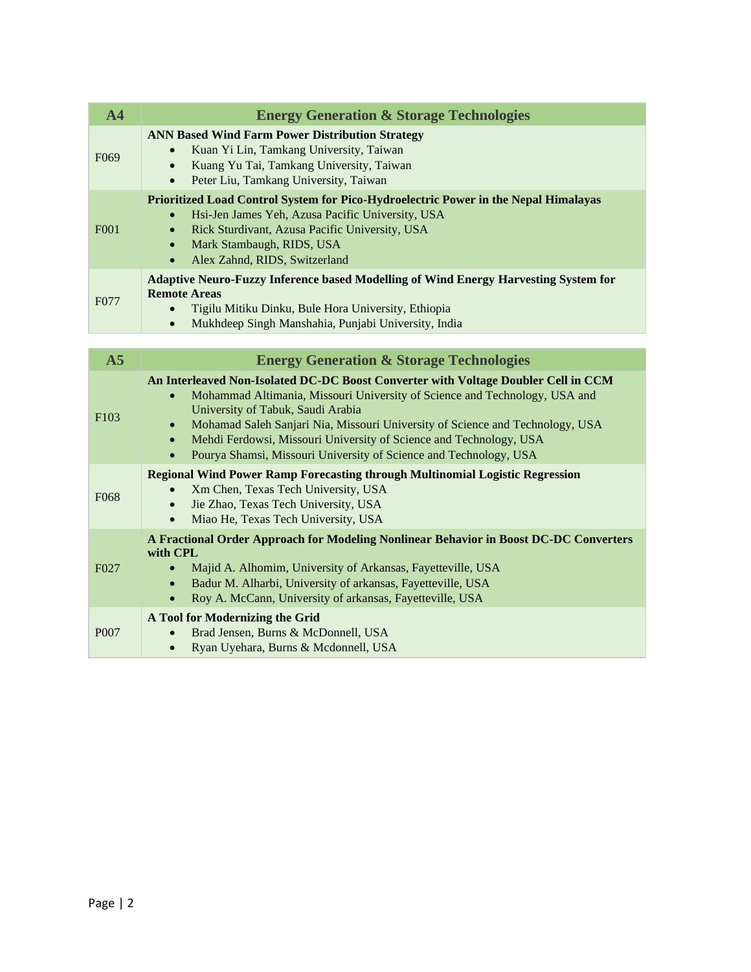| A <sub>4</sub>   | <b>Energy Generation &amp; Storage Technologies</b>                                                                                                                                                                                                                                                                                                                                                                                                                                   |
|------------------|---------------------------------------------------------------------------------------------------------------------------------------------------------------------------------------------------------------------------------------------------------------------------------------------------------------------------------------------------------------------------------------------------------------------------------------------------------------------------------------|
| F <sub>069</sub> | <b>ANN Based Wind Farm Power Distribution Strategy</b><br>Kuan Yi Lin, Tamkang University, Taiwan<br>$\bullet$<br>Kuang Yu Tai, Tamkang University, Taiwan<br>$\bullet$<br>Peter Liu, Tamkang University, Taiwan<br>$\bullet$                                                                                                                                                                                                                                                         |
| F001             | Prioritized Load Control System for Pico-Hydroelectric Power in the Nepal Himalayas<br>Hsi-Jen James Yeh, Azusa Pacific University, USA<br>Rick Sturdivant, Azusa Pacific University, USA<br>$\bullet$<br>Mark Stambaugh, RIDS, USA<br>$\bullet$<br>Alex Zahnd, RIDS, Switzerland<br>$\bullet$                                                                                                                                                                                        |
| F077             | <b>Adaptive Neuro-Fuzzy Inference based Modelling of Wind Energy Harvesting System for</b><br><b>Remote Areas</b><br>Tigilu Mitiku Dinku, Bule Hora University, Ethiopia<br>$\bullet$<br>Mukhdeep Singh Manshahia, Punjabi University, India<br>$\bullet$                                                                                                                                                                                                                             |
| A <sub>5</sub>   | <b>Energy Generation &amp; Storage Technologies</b>                                                                                                                                                                                                                                                                                                                                                                                                                                   |
| F103             | An Interleaved Non-Isolated DC-DC Boost Converter with Voltage Doubler Cell in CCM<br>Mohammad Altimania, Missouri University of Science and Technology, USA and<br>$\bullet$<br>University of Tabuk, Saudi Arabia<br>Mohamad Saleh Sanjari Nia, Missouri University of Science and Technology, USA<br>$\bullet$<br>Mehdi Ferdowsi, Missouri University of Science and Technology, USA<br>$\bullet$<br>Pourya Shamsi, Missouri University of Science and Technology, USA<br>$\bullet$ |
| F068             | <b>Regional Wind Power Ramp Forecasting through Multinomial Logistic Regression</b><br>Xm Chen, Texas Tech University, USA<br>$\bullet$<br>Jie Zhao, Texas Tech University, USA<br>$\bullet$<br>Miao He, Texas Tech University, USA<br>$\bullet$                                                                                                                                                                                                                                      |
| F027             | A Fractional Order Approach for Modeling Nonlinear Behavior in Boost DC-DC Converters<br>with CPL<br>Majid A. Alhomim, University of Arkansas, Fayetteville, USA<br>$\bullet$<br>Badur M. Alharbi, University of arkansas, Fayetteville, USA<br>Roy A. McCann, University of arkansas, Fayetteville, USA                                                                                                                                                                              |
| P <sub>007</sub> | A Tool for Modernizing the Grid<br>Brad Jensen, Burns & McDonnell, USA<br>Ryan Uyehara, Burns & Mcdonnell, USA<br>$\bullet$                                                                                                                                                                                                                                                                                                                                                           |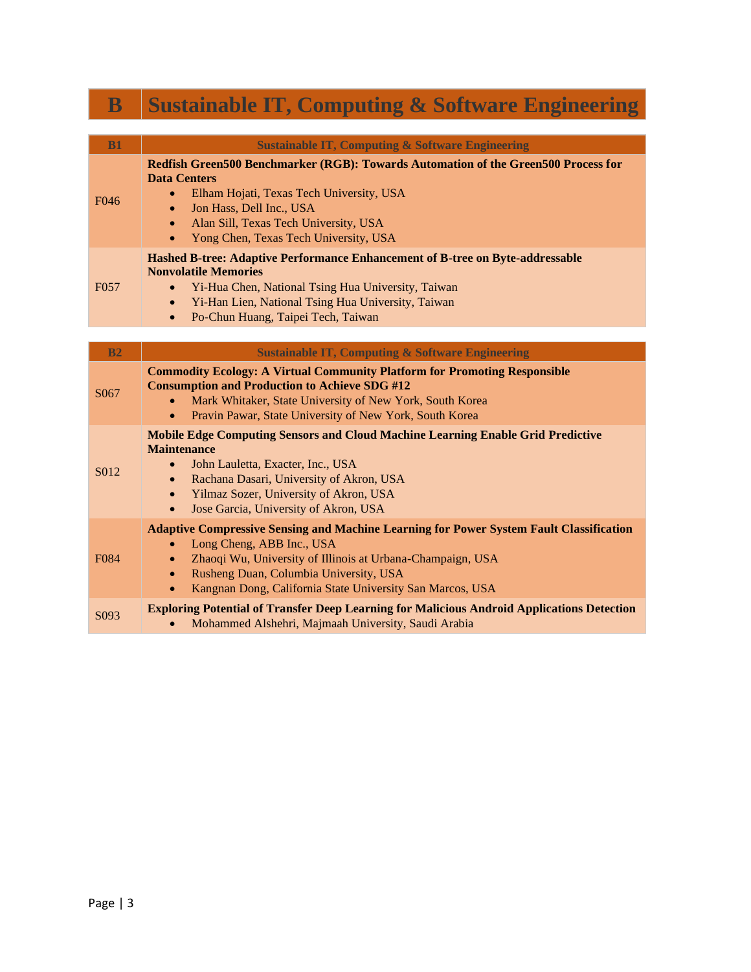| ${\bf B}$        | <b>Sustainable IT, Computing &amp; Software Engineering</b>                                                                                                                                                                                                                                                                                          |
|------------------|------------------------------------------------------------------------------------------------------------------------------------------------------------------------------------------------------------------------------------------------------------------------------------------------------------------------------------------------------|
| B1               | <b>Sustainable IT, Computing &amp; Software Engineering</b>                                                                                                                                                                                                                                                                                          |
| F046             | Redfish Green500 Benchmarker (RGB): Towards Automation of the Green500 Process for<br><b>Data Centers</b><br>Elham Hojati, Texas Tech University, USA<br>$\bullet$<br>Jon Hass, Dell Inc., USA<br>$\bullet$<br>Alan Sill, Texas Tech University, USA<br>$\bullet$<br>Yong Chen, Texas Tech University, USA<br>$\bullet$                              |
| F <sub>057</sub> | <b>Hashed B-tree: Adaptive Performance Enhancement of B-tree on Byte-addressable</b><br><b>Nonvolatile Memories</b><br>Yi-Hua Chen, National Tsing Hua University, Taiwan<br>$\bullet$<br>Yi-Han Lien, National Tsing Hua University, Taiwan<br>$\bullet$<br>Po-Chun Huang, Taipei Tech, Taiwan<br>$\bullet$                                         |
| B2               | <b>Sustainable IT, Computing &amp; Software Engineering</b>                                                                                                                                                                                                                                                                                          |
| S067             | <b>Commodity Ecology: A Virtual Community Platform for Promoting Responsible</b><br><b>Consumption and Production to Achieve SDG #12</b>                                                                                                                                                                                                             |
|                  | Mark Whitaker, State University of New York, South Korea<br>Pravin Pawar, State University of New York, South Korea<br>$\bullet$                                                                                                                                                                                                                     |
| S012             | <b>Mobile Edge Computing Sensors and Cloud Machine Learning Enable Grid Predictive</b><br><b>Maintenance</b><br>John Lauletta, Exacter, Inc., USA<br>$\bullet$<br>Rachana Dasari, University of Akron, USA<br>$\bullet$<br>Yilmaz Sozer, University of Akron, USA<br>$\bullet$<br>Jose Garcia, University of Akron, USA<br>$\bullet$                 |
| F <sub>084</sub> | <b>Adaptive Compressive Sensing and Machine Learning for Power System Fault Classification</b><br>Long Cheng, ABB Inc., USA<br>$\bullet$<br>Zhaoqi Wu, University of Illinois at Urbana-Champaign, USA<br>$\bullet$<br>Rusheng Duan, Columbia University, USA<br>$\bullet$<br>Kangnan Dong, California State University San Marcos, USA<br>$\bullet$ |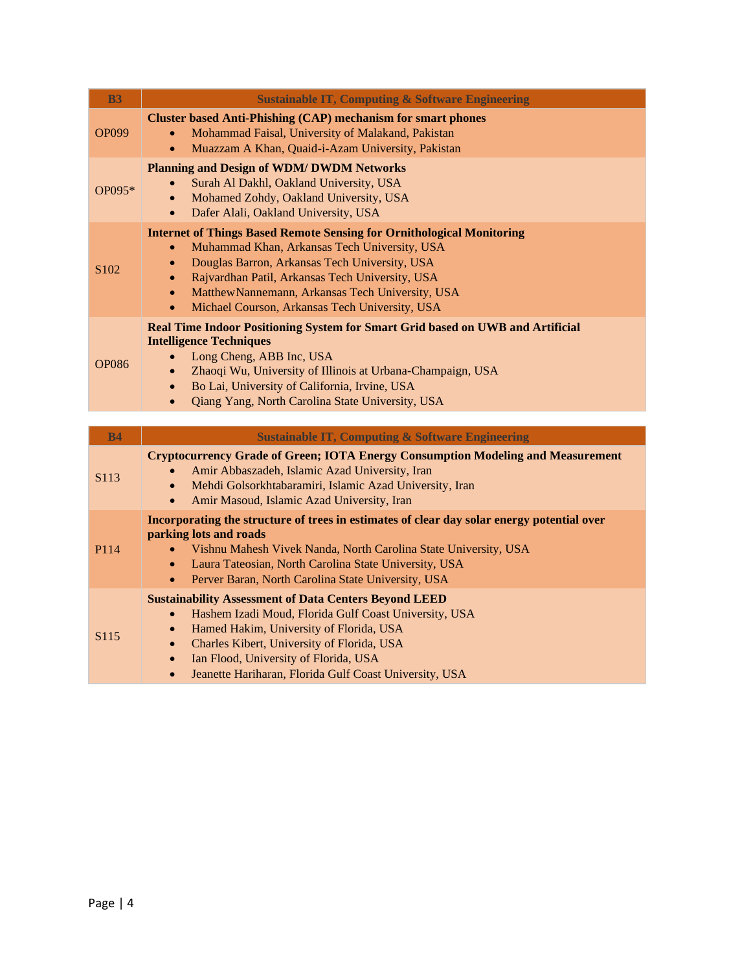| <b>B3</b>    | <b>Sustainable IT, Computing &amp; Software Engineering</b>                                                                                                                                                                                                                                                                                                                                             |
|--------------|---------------------------------------------------------------------------------------------------------------------------------------------------------------------------------------------------------------------------------------------------------------------------------------------------------------------------------------------------------------------------------------------------------|
| <b>OP099</b> | <b>Cluster based Anti-Phishing (CAP) mechanism for smart phones</b><br>Mohammad Faisal, University of Malakand, Pakistan<br>Muazzam A Khan, Quaid-i-Azam University, Pakistan<br>$\bullet$                                                                                                                                                                                                              |
| OP095*       | <b>Planning and Design of WDM/ DWDM Networks</b><br>Surah Al Dakhl, Oakland University, USA<br>Mohamed Zohdy, Oakland University, USA<br>$\bullet$<br>Dafer Alali, Oakland University, USA<br>$\bullet$                                                                                                                                                                                                 |
| S102         | <b>Internet of Things Based Remote Sensing for Ornithological Monitoring</b><br>Muhammad Khan, Arkansas Tech University, USA<br>$\bullet$<br>Douglas Barron, Arkansas Tech University, USA<br>$\bullet$<br>Rajvardhan Patil, Arkansas Tech University, USA<br>$\bullet$<br>Matthew Nannemann, Arkansas Tech University, USA<br>$\bullet$<br>Michael Courson, Arkansas Tech University, USA<br>$\bullet$ |
| <b>OP086</b> | Real Time Indoor Positioning System for Smart Grid based on UWB and Artificial<br><b>Intelligence Techniques</b><br>Long Cheng, ABB Inc, USA<br>$\bullet$<br>Zhaoqi Wu, University of Illinois at Urbana-Champaign, USA<br>$\bullet$<br>Bo Lai, University of California, Irvine, USA<br>$\bullet$<br>Qiang Yang, North Carolina State University, USA<br>$\bullet$                                     |
| <b>B4</b>    | <b>Sustainable IT, Computing &amp; Software Engineering</b>                                                                                                                                                                                                                                                                                                                                             |
| S113         | <b>Cryptocurrency Grade of Green; IOTA Energy Consumption Modeling and Measurement</b><br>Amir Abbaszadeh, Islamic Azad University, Iran<br>Mehdi Golsorkhtabaramiri, Islamic Azad University, Iran<br>$\bullet$<br>Amir Masoud, Islamic Azad University, Iran<br>$\bullet$                                                                                                                             |
| P114         | Incorporating the structure of trees in estimates of clear day solar energy potential over<br>parking lots and roads<br>Vishnu Mahesh Vivek Nanda, North Carolina State University, USA<br>$\bullet$<br>Laura Tateosian, North Carolina State University, USA<br>$\bullet$<br>Perver Baran, North Carolina State University, USA<br>$\bullet$                                                           |
| S115         | <b>Sustainability Assessment of Data Centers Beyond LEED</b><br>Hashem Izadi Moud, Florida Gulf Coast University, USA<br>$\bullet$<br>Hamed Hakim, University of Florida, USA<br>$\bullet$<br>Charles Kibert, University of Florida, USA<br>$\bullet$<br>Ian Flood, University of Florida, USA<br>$\bullet$<br>Jeanette Hariharan, Florida Gulf Coast University, USA<br>$\bullet$                      |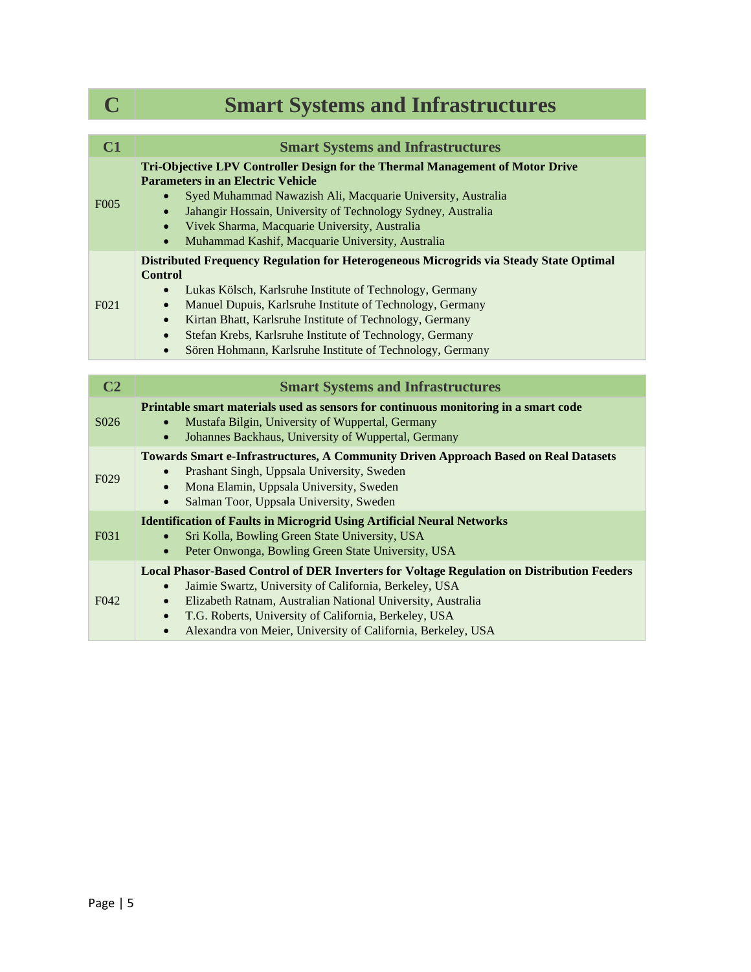# **C Smart Systems and Infrastructures**

| C1                | <b>Smart Systems and Infrastructures</b>                                                                                                                                                                                                                                                                                                                                                                                                                                                |
|-------------------|-----------------------------------------------------------------------------------------------------------------------------------------------------------------------------------------------------------------------------------------------------------------------------------------------------------------------------------------------------------------------------------------------------------------------------------------------------------------------------------------|
| F <sub>0</sub> 05 | Tri-Objective LPV Controller Design for the Thermal Management of Motor Drive<br><b>Parameters in an Electric Vehicle</b><br>Syed Muhammad Nawazish Ali, Macquarie University, Australia<br>Jahangir Hossain, University of Technology Sydney, Australia<br>$\bullet$<br>Vivek Sharma, Macquarie University, Australia<br>$\bullet$<br>Muhammad Kashif, Macquarie University, Australia<br>$\bullet$                                                                                    |
| F <sub>021</sub>  | Distributed Frequency Regulation for Heterogeneous Microgrids via Steady State Optimal<br><b>Control</b><br>Lukas Kölsch, Karlsruhe Institute of Technology, Germany<br>$\bullet$<br>Manuel Dupuis, Karlsruhe Institute of Technology, Germany<br>$\bullet$<br>Kirtan Bhatt, Karlsruhe Institute of Technology, Germany<br>$\bullet$<br>Stefan Krebs, Karlsruhe Institute of Technology, Germany<br>$\bullet$<br>Sören Hohmann, Karlsruhe Institute of Technology, Germany<br>$\bullet$ |

| C <sub>2</sub>    | <b>Smart Systems and Infrastructures</b>                                                                                                                                                                                                                                                                                                                                                   |
|-------------------|--------------------------------------------------------------------------------------------------------------------------------------------------------------------------------------------------------------------------------------------------------------------------------------------------------------------------------------------------------------------------------------------|
| S <sub>0</sub> 26 | Printable smart materials used as sensors for continuous monitoring in a smart code<br>Mustafa Bilgin, University of Wuppertal, Germany<br>Johannes Backhaus, University of Wuppertal, Germany<br>$\bullet$                                                                                                                                                                                |
| F <sub>029</sub>  | <b>Towards Smart e-Infrastructures, A Community Driven Approach Based on Real Datasets</b><br>Prashant Singh, Uppsala University, Sweden<br>Mona Elamin, Uppsala University, Sweden<br>$\bullet$<br>Salman Toor, Uppsala University, Sweden<br>$\bullet$                                                                                                                                   |
| F <sub>0</sub> 31 | <b>Identification of Faults in Microgrid Using Artificial Neural Networks</b><br>Sri Kolla, Bowling Green State University, USA<br>Peter Onwonga, Bowling Green State University, USA<br>$\bullet$                                                                                                                                                                                         |
| F <sub>042</sub>  | <b>Local Phasor-Based Control of DER Inverters for Voltage Regulation on Distribution Feeders</b><br>Jaimie Swartz, University of California, Berkeley, USA<br>Elizabeth Ratnam, Australian National University, Australia<br>$\bullet$<br>T.G. Roberts, University of California, Berkeley, USA<br>$\bullet$<br>Alexandra von Meier, University of California, Berkeley, USA<br>$\bullet$ |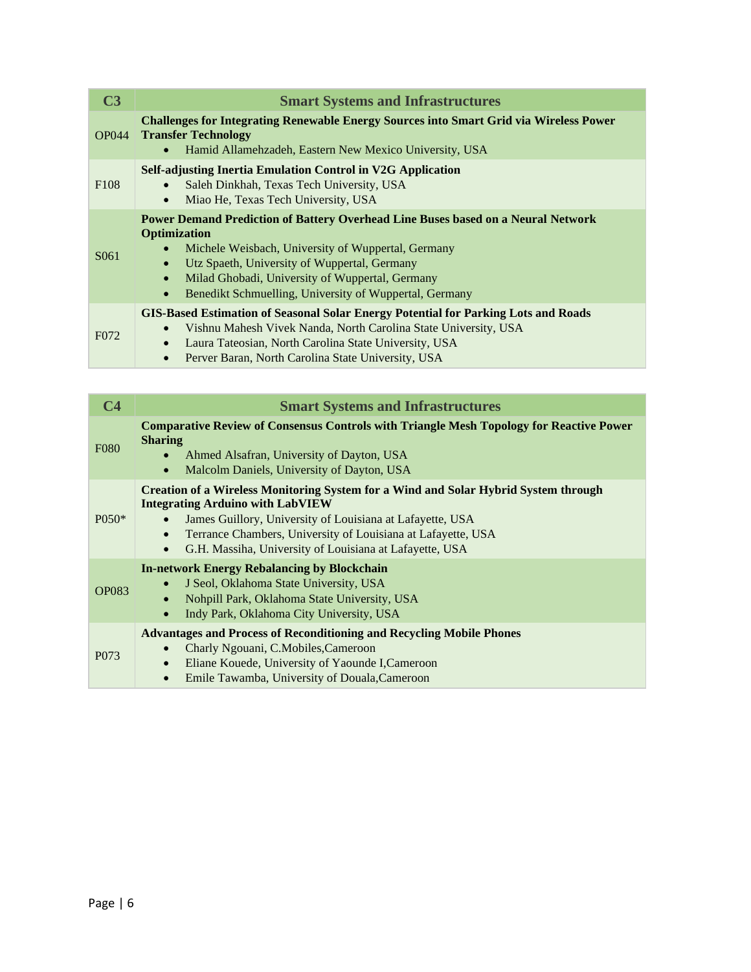| C <sub>3</sub>   | <b>Smart Systems and Infrastructures</b>                                                                                                                                                                                                                                                                                                                                 |
|------------------|--------------------------------------------------------------------------------------------------------------------------------------------------------------------------------------------------------------------------------------------------------------------------------------------------------------------------------------------------------------------------|
| <b>OP044</b>     | <b>Challenges for Integrating Renewable Energy Sources into Smart Grid via Wireless Power</b><br><b>Transfer Technology</b><br>Hamid Allamehzadeh, Eastern New Mexico University, USA<br>$\bullet$                                                                                                                                                                       |
| F <sub>108</sub> | Self-adjusting Inertia Emulation Control in V2G Application<br>Saleh Dinkhah, Texas Tech University, USA<br>Miao He, Texas Tech University, USA<br>$\bullet$                                                                                                                                                                                                             |
| S <sub>061</sub> | <b>Power Demand Prediction of Battery Overhead Line Buses based on a Neural Network</b><br><b>Optimization</b><br>Michele Weisbach, University of Wuppertal, Germany<br>Utz Spaeth, University of Wuppertal, Germany<br>$\bullet$<br>Milad Ghobadi, University of Wuppertal, Germany<br>$\bullet$<br>Benedikt Schmuelling, University of Wuppertal, Germany<br>$\bullet$ |
| F <sub>072</sub> | <b>GIS-Based Estimation of Seasonal Solar Energy Potential for Parking Lots and Roads</b><br>Vishnu Mahesh Vivek Nanda, North Carolina State University, USA<br>Laura Tateosian, North Carolina State University, USA<br>$\bullet$<br>Perver Baran, North Carolina State University, USA                                                                                 |

| $\mathbf{C4}$    | <b>Smart Systems and Infrastructures</b>                                                                                                                                                                                                                                                                                                   |
|------------------|--------------------------------------------------------------------------------------------------------------------------------------------------------------------------------------------------------------------------------------------------------------------------------------------------------------------------------------------|
| <b>F080</b>      | <b>Comparative Review of Consensus Controls with Triangle Mesh Topology for Reactive Power</b><br><b>Sharing</b><br>Ahmed Alsafran, University of Dayton, USA<br>Malcolm Daniels, University of Dayton, USA<br>$\bullet$                                                                                                                   |
| $P050*$          | <b>Creation of a Wireless Monitoring System for a Wind and Solar Hybrid System through</b><br><b>Integrating Arduino with LabVIEW</b><br>James Guillory, University of Louisiana at Lafayette, USA<br>Terrance Chambers, University of Louisiana at Lafayette, USA<br>$\bullet$<br>G.H. Massiha, University of Louisiana at Lafayette, USA |
| <b>OP083</b>     | <b>In-network Energy Rebalancing by Blockchain</b><br>J Seol, Oklahoma State University, USA<br>$\bullet$<br>Nohpill Park, Oklahoma State University, USA<br>$\bullet$<br>Indy Park, Oklahoma City University, USA<br>$\bullet$                                                                                                            |
| P <sub>073</sub> | <b>Advantages and Process of Reconditioning and Recycling Mobile Phones</b><br>Charly Ngouani, C.Mobiles, Cameroon<br>$\bullet$<br>Eliane Kouede, University of Yaounde I, Cameroon<br>$\bullet$<br>Emile Tawamba, University of Douala, Cameroon                                                                                          |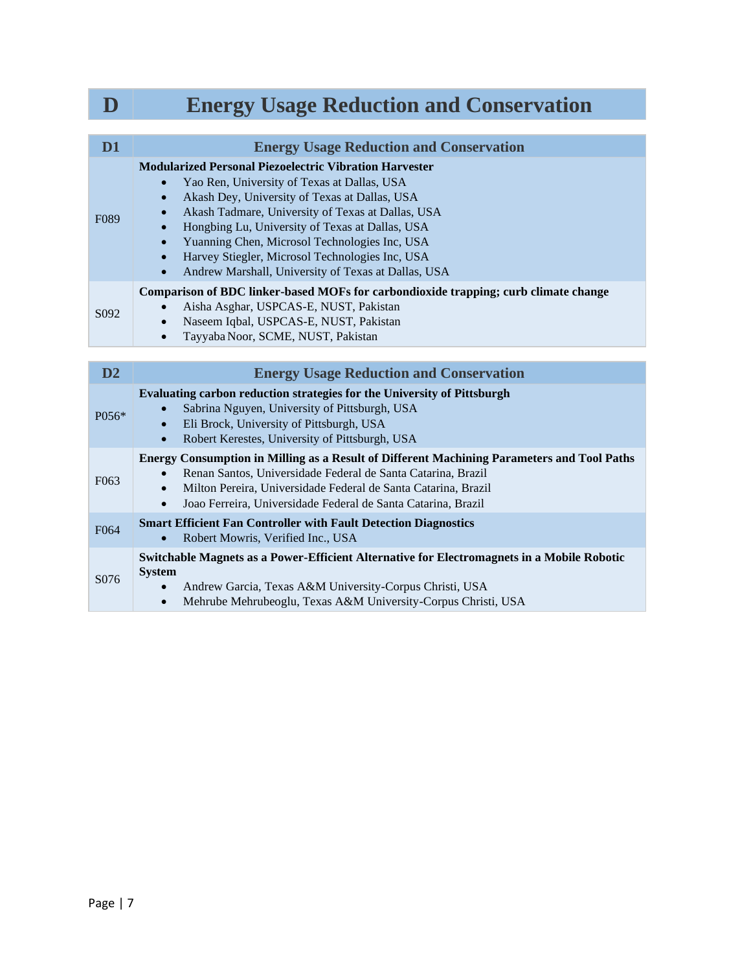|                   | <b>Energy Usage Reduction and Conservation</b>                                                                                                                                                                                                                                                                                                                                                                                                                                       |
|-------------------|--------------------------------------------------------------------------------------------------------------------------------------------------------------------------------------------------------------------------------------------------------------------------------------------------------------------------------------------------------------------------------------------------------------------------------------------------------------------------------------|
|                   |                                                                                                                                                                                                                                                                                                                                                                                                                                                                                      |
| D <sub>1</sub>    | <b>Energy Usage Reduction and Conservation</b>                                                                                                                                                                                                                                                                                                                                                                                                                                       |
| F <sub>0</sub> 89 | <b>Modularized Personal Piezoelectric Vibration Harvester</b><br>Yao Ren, University of Texas at Dallas, USA<br>Akash Dey, University of Texas at Dallas, USA<br>$\bullet$<br>Akash Tadmare, University of Texas at Dallas, USA<br>$\bullet$<br>Hongbing Lu, University of Texas at Dallas, USA<br>$\bullet$<br>Yuanning Chen, Microsol Technologies Inc, USA<br>$\bullet$<br>Harvey Stiegler, Microsol Technologies Inc, USA<br>Andrew Marshall, University of Texas at Dallas, USA |
| S <sub>092</sub>  | Comparison of BDC linker-based MOFs for carbondioxide trapping; curb climate change<br>Aisha Asghar, USPCAS-E, NUST, Pakistan<br>Naseem Iqbal, USPCAS-E, NUST, Pakistan<br>$\bullet$<br>Tayyaba Noor, SCME, NUST, Pakistan<br>$\bullet$                                                                                                                                                                                                                                              |
|                   |                                                                                                                                                                                                                                                                                                                                                                                                                                                                                      |
| D2                | <b>Energy Usage Reduction and Conservation</b>                                                                                                                                                                                                                                                                                                                                                                                                                                       |
| P056*             | Evaluating carbon reduction strategies for the University of Pittsburgh<br>Sabrina Nguyen, University of Pittsburgh, USA<br>Eli Brock, University of Pittsburgh, USA<br>Robert Kerestes, University of Pittsburgh, USA<br>$\bullet$                                                                                                                                                                                                                                                  |
| F <sub>063</sub>  | Energy Consumption in Milling as a Result of Different Machining Parameters and Tool Paths<br>Renan Santos, Universidade Federal de Santa Catarina, Brazil<br>Milton Pereira, Universidade Federal de Santa Catarina, Brazil<br>$\bullet$<br>Joao Ferreira, Universidade Federal de Santa Catarina, Brazil<br>$\bullet$                                                                                                                                                              |
| F <sub>064</sub>  | <b>Smart Efficient Fan Controller with Fault Detection Diagnostics</b><br>Robert Mowris, Verified Inc., USA                                                                                                                                                                                                                                                                                                                                                                          |
| S076              | Switchable Magnets as a Power-Efficient Alternative for Electromagnets in a Mobile Robotic<br><b>System</b><br>Andrew Garcia, Texas A&M University-Corpus Christi, USA                                                                                                                                                                                                                                                                                                               |

• Mehrube Mehrubeoglu, Texas A&M University-Corpus Christi, USA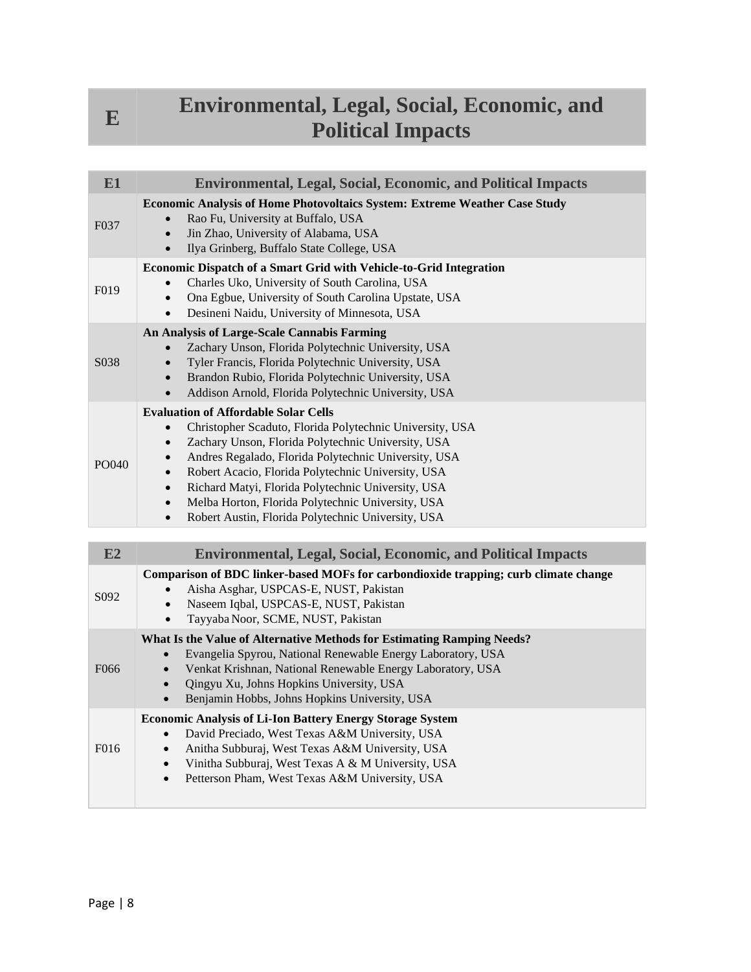#### **Environmental, Legal, Social, Economic, and Political Impacts**

| E <sub>1</sub>    | <b>Environmental, Legal, Social, Economic, and Political Impacts</b>                                                                                                                                                                                                                                                                                                                                                                                                                |
|-------------------|-------------------------------------------------------------------------------------------------------------------------------------------------------------------------------------------------------------------------------------------------------------------------------------------------------------------------------------------------------------------------------------------------------------------------------------------------------------------------------------|
| F <sub>0</sub> 37 | <b>Economic Analysis of Home Photovoltaics System: Extreme Weather Case Study</b><br>Rao Fu, University at Buffalo, USA<br>Jin Zhao, University of Alabama, USA<br>Ilya Grinberg, Buffalo State College, USA<br>$\bullet$                                                                                                                                                                                                                                                           |
| F <sub>019</sub>  | Economic Dispatch of a Smart Grid with Vehicle-to-Grid Integration<br>Charles Uko, University of South Carolina, USA<br>Ona Egbue, University of South Carolina Upstate, USA<br>$\bullet$<br>Desineni Naidu, University of Minnesota, USA<br>$\bullet$                                                                                                                                                                                                                              |
| S <sub>0</sub> 38 | An Analysis of Large-Scale Cannabis Farming<br>Zachary Unson, Florida Polytechnic University, USA<br>Tyler Francis, Florida Polytechnic University, USA<br>Brandon Rubio, Florida Polytechnic University, USA<br>$\bullet$<br>Addison Arnold, Florida Polytechnic University, USA<br>$\bullet$                                                                                                                                                                                      |
| PO040             | <b>Evaluation of Affordable Solar Cells</b><br>Christopher Scaduto, Florida Polytechnic University, USA<br>Zachary Unson, Florida Polytechnic University, USA<br>Andres Regalado, Florida Polytechnic University, USA<br>Robert Acacio, Florida Polytechnic University, USA<br>Richard Matyi, Florida Polytechnic University, USA<br>$\bullet$<br>Melba Horton, Florida Polytechnic University, USA<br>$\bullet$<br>Robert Austin, Florida Polytechnic University, USA<br>$\bullet$ |

| E2               | <b>Environmental, Legal, Social, Economic, and Political Impacts</b>                                                                                                                                                                                                                                                       |
|------------------|----------------------------------------------------------------------------------------------------------------------------------------------------------------------------------------------------------------------------------------------------------------------------------------------------------------------------|
| S <sub>092</sub> | Comparison of BDC linker-based MOFs for carbondioxide trapping; curb climate change<br>Aisha Asghar, USPCAS-E, NUST, Pakistan<br>Naseem Iqbal, USPCAS-E, NUST, Pakistan<br>Tayyaba Noor, SCME, NUST, Pakistan                                                                                                              |
| F066             | What Is the Value of Alternative Methods for Estimating Ramping Needs?<br>Evangelia Spyrou, National Renewable Energy Laboratory, USA<br>Venkat Krishnan, National Renewable Energy Laboratory, USA<br>Qingyu Xu, Johns Hopkins University, USA<br>$\bullet$<br>Benjamin Hobbs, Johns Hopkins University, USA<br>$\bullet$ |
| F016             | <b>Economic Analysis of Li-Ion Battery Energy Storage System</b><br>David Preciado, West Texas A&M University, USA<br>Anitha Subburaj, West Texas A&M University, USA<br>$\bullet$<br>Vinitha Subburaj, West Texas A & M University, USA<br>$\bullet$<br>Petterson Pham, West Texas A&M University, USA<br>$\bullet$       |

**E**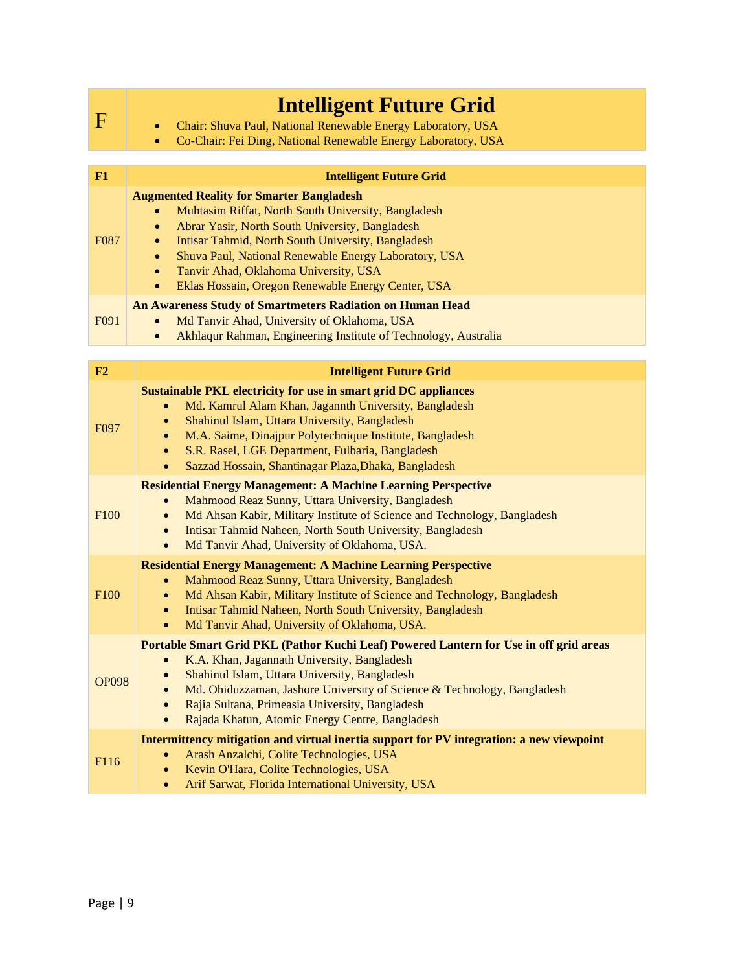|                  | <b>Intelligent Future Grid</b>                                                                                                                                                                                                                                                                                                                                                                                                           |
|------------------|------------------------------------------------------------------------------------------------------------------------------------------------------------------------------------------------------------------------------------------------------------------------------------------------------------------------------------------------------------------------------------------------------------------------------------------|
| $\mathbf F$      | Chair: Shuva Paul, National Renewable Energy Laboratory, USA                                                                                                                                                                                                                                                                                                                                                                             |
|                  | Co-Chair: Fei Ding, National Renewable Energy Laboratory, USA<br>$\bullet$                                                                                                                                                                                                                                                                                                                                                               |
|                  |                                                                                                                                                                                                                                                                                                                                                                                                                                          |
| F1               | <b>Intelligent Future Grid</b>                                                                                                                                                                                                                                                                                                                                                                                                           |
| F087             | <b>Augmented Reality for Smarter Bangladesh</b><br>Muhtasim Riffat, North South University, Bangladesh<br>Abrar Yasir, North South University, Bangladesh<br>$\bullet$<br>Intisar Tahmid, North South University, Bangladesh<br>$\bullet$<br>Shuva Paul, National Renewable Energy Laboratory, USA<br>$\bullet$<br>Tanvir Ahad, Oklahoma University, USA<br>$\bullet$<br>Eklas Hossain, Oregon Renewable Energy Center, USA<br>$\bullet$ |
| F091             | <b>An Awareness Study of Smartmeters Radiation on Human Head</b><br>Md Tanvir Ahad, University of Oklahoma, USA                                                                                                                                                                                                                                                                                                                          |
|                  | Akhlaqur Rahman, Engineering Institute of Technology, Australia<br>$\bullet$                                                                                                                                                                                                                                                                                                                                                             |
|                  |                                                                                                                                                                                                                                                                                                                                                                                                                                          |
| F2               | <b>Intelligent Future Grid</b>                                                                                                                                                                                                                                                                                                                                                                                                           |
| F <sub>097</sub> | Sustainable PKL electricity for use in smart grid DC appliances<br>Md. Kamrul Alam Khan, Jagannth University, Bangladesh<br>$\bullet$<br>Shahinul Islam, Uttara University, Bangladesh<br>$\bullet$<br>M.A. Saime, Dinajpur Polytechnique Institute, Bangladesh<br>$\bullet$<br>S.R. Rasel, LGE Department, Fulbaria, Bangladesh<br>$\bullet$<br>Sazzad Hossain, Shantinagar Plaza, Dhaka, Bangladesh<br>$\bullet$                       |
| F <sub>100</sub> | <b>Residential Energy Management: A Machine Learning Perspective</b><br>Mahmood Reaz Sunny, Uttara University, Bangladesh<br>Md Ahsan Kabir, Military Institute of Science and Technology, Bangladesh<br>$\bullet$<br>Intisar Tahmid Naheen, North South University, Bangladesh<br>$\bullet$<br>Md Tanvir Ahad, University of Oklahoma, USA.<br>$\bullet$                                                                                |
| F <sub>100</sub> | <b>Residential Energy Management: A Machine Learning Perspective</b><br>Mahmood Reaz Sunny, Uttara University, Bangladesh<br>$\bullet$<br>Md Ahsan Kabir, Military Institute of Science and Technology, Bangladesh<br>$\bullet$<br>Intisar Tahmid Naheen, North South University, Bangladesh<br>$\bullet$<br>Md Tanvir Ahad, University of Oklahoma, USA.<br>$\bullet$                                                                   |
| <b>OP098</b>     | Portable Smart Grid PKL (Pathor Kuchi Leaf) Powered Lantern for Use in off grid areas<br>K.A. Khan, Jagannath University, Bangladesh<br>$\bullet$<br>Shahinul Islam, Uttara University, Bangladesh<br>$\bullet$<br>Md. Ohiduzzaman, Jashore University of Science & Technology, Bangladesh<br>$\bullet$<br>Rajia Sultana, Primeasia University, Bangladesh<br>$\bullet$<br>Rajada Khatun, Atomic Energy Centre, Bangladesh<br>$\bullet$  |
| F116             | Intermittency mitigation and virtual inertia support for PV integration: a new viewpoint<br>Arash Anzalchi, Colite Technologies, USA<br>$\bullet$<br>Kevin O'Hara, Colite Technologies, USA<br>$\bullet$<br>Arif Sarwat, Florida International University, USA<br>$\bullet$                                                                                                                                                              |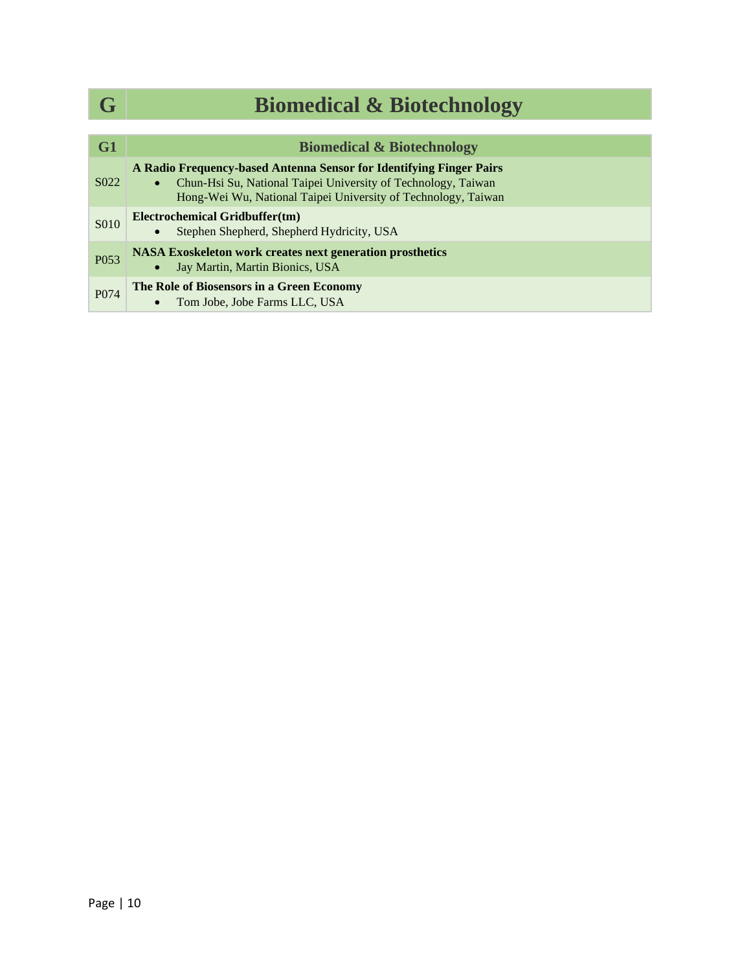| G                 | <b>Biomedical &amp; Biotechnology</b>                                                                                                                                                                 |
|-------------------|-------------------------------------------------------------------------------------------------------------------------------------------------------------------------------------------------------|
|                   |                                                                                                                                                                                                       |
| G1                | <b>Biomedical &amp; Biotechnology</b>                                                                                                                                                                 |
| S <sub>0</sub> 22 | A Radio Frequency-based Antenna Sensor for Identifying Finger Pairs<br>Chun-Hsi Su, National Taipei University of Technology, Taiwan<br>Hong-Wei Wu, National Taipei University of Technology, Taiwan |
| S010              | Electrochemical Gridbuffer(tm)<br>Stephen Shepherd, Shepherd Hydricity, USA<br>$\bullet$                                                                                                              |
| P053              | <b>NASA Exoskeleton work creates next generation prosthetics</b><br>Jay Martin, Martin Bionics, USA                                                                                                   |
| P <sub>074</sub>  | The Role of Biosensors in a Green Economy<br>Tom Jobe, Jobe Farms LLC, USA                                                                                                                            |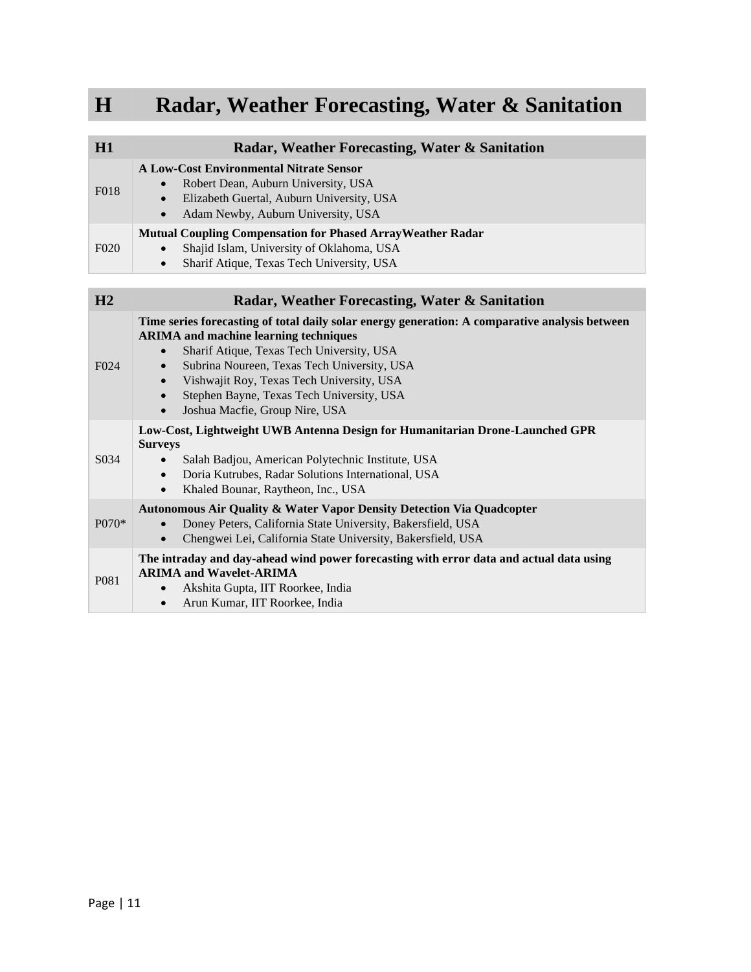## **H Radar, Weather Forecasting, Water & Sanitation**

| H1                | Radar, Weather Forecasting, Water & Sanitation                                                                                                                                                                                                                                                                                                                                                   |
|-------------------|--------------------------------------------------------------------------------------------------------------------------------------------------------------------------------------------------------------------------------------------------------------------------------------------------------------------------------------------------------------------------------------------------|
| F <sub>018</sub>  | <b>A Low-Cost Environmental Nitrate Sensor</b><br>Robert Dean, Auburn University, USA<br>Elizabeth Guertal, Auburn University, USA<br>$\bullet$<br>Adam Newby, Auburn University, USA<br>$\bullet$                                                                                                                                                                                               |
| F <sub>020</sub>  | <b>Mutual Coupling Compensation for Phased Array Weather Radar</b><br>Shajid Islam, University of Oklahoma, USA<br>Sharif Atique, Texas Tech University, USA<br>$\bullet$                                                                                                                                                                                                                        |
| H2                | Radar, Weather Forecasting, Water & Sanitation                                                                                                                                                                                                                                                                                                                                                   |
| F <sub>024</sub>  | Time series forecasting of total daily solar energy generation: A comparative analysis between<br><b>ARIMA</b> and machine learning techniques<br>Sharif Atique, Texas Tech University, USA<br>Subrina Noureen, Texas Tech University, USA<br>$\bullet$<br>Vishwajit Roy, Texas Tech University, USA<br>$\bullet$<br>Stephen Bayne, Texas Tech University, USA<br>Joshua Macfie, Group Nire, USA |
| S <sub>0</sub> 34 | Low-Cost, Lightweight UWB Antenna Design for Humanitarian Drone-Launched GPR<br><b>Surveys</b><br>Salah Badjou, American Polytechnic Institute, USA<br>Doria Kutrubes, Radar Solutions International, USA<br>$\bullet$<br>Khaled Bounar, Raytheon, Inc., USA<br>$\bullet$                                                                                                                        |
| $P070*$           | Autonomous Air Quality & Water Vapor Density Detection Via Quadcopter<br>Doney Peters, California State University, Bakersfield, USA<br>Chengwei Lei, California State University, Bakersfield, USA                                                                                                                                                                                              |
| P <sub>081</sub>  | The intraday and day-ahead wind power forecasting with error data and actual data using<br><b>ARIMA and Wavelet-ARIMA</b><br>Akshita Gupta, IIT Roorkee, India<br>$\bullet$<br>Arun Kumar, IIT Roorkee, India<br>$\bullet$                                                                                                                                                                       |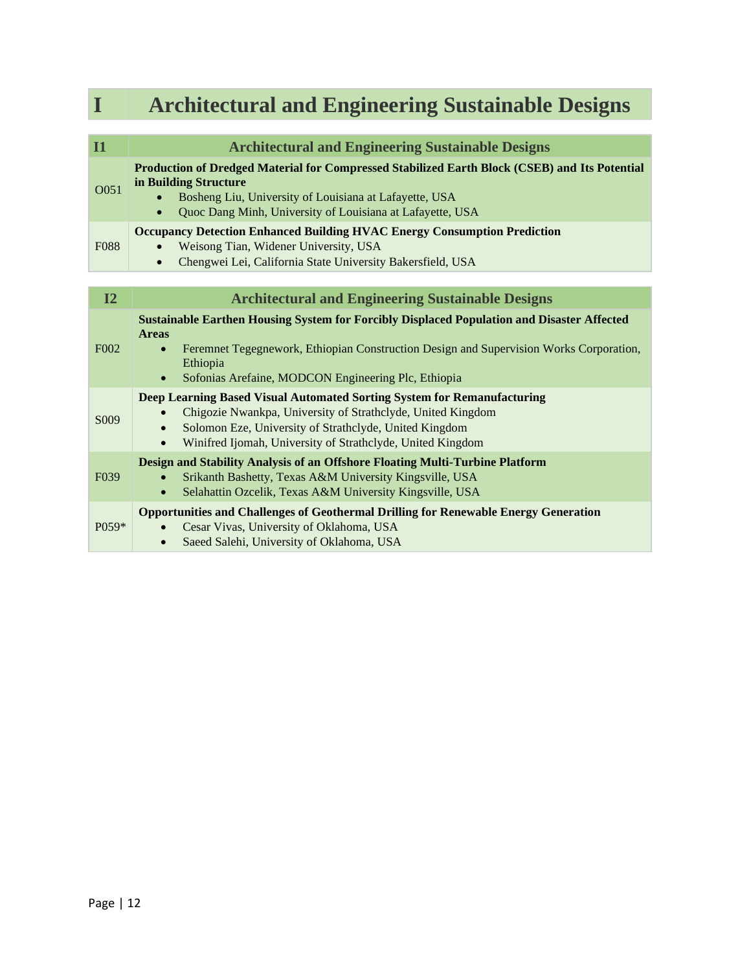| I                 | <b>Architectural and Engineering Sustainable Designs</b>                                                                                                                                                                                                                       |
|-------------------|--------------------------------------------------------------------------------------------------------------------------------------------------------------------------------------------------------------------------------------------------------------------------------|
|                   |                                                                                                                                                                                                                                                                                |
| $\overline{11}$   | <b>Architectural and Engineering Sustainable Designs</b>                                                                                                                                                                                                                       |
| O051              | Production of Dredged Material for Compressed Stabilized Earth Block (CSEB) and Its Potential<br>in Building Structure<br>Bosheng Liu, University of Louisiana at Lafayette, USA<br>Quoc Dang Minh, University of Louisiana at Lafayette, USA                                  |
| <b>F088</b>       | <b>Occupancy Detection Enhanced Building HVAC Energy Consumption Prediction</b><br>Weisong Tian, Widener University, USA<br>Chengwei Lei, California State University Bakersfield, USA                                                                                         |
|                   |                                                                                                                                                                                                                                                                                |
| I2                | <b>Architectural and Engineering Sustainable Designs</b>                                                                                                                                                                                                                       |
| F <sub>0</sub> 02 | <b>Sustainable Earthen Housing System for Forcibly Displaced Population and Disaster Affected</b><br><b>Areas</b><br>Feremnet Tegegnework, Ethiopian Construction Design and Supervision Works Corporation,<br>Ethiopia<br>Sofonias Arefaine, MODCON Engineering Plc, Ethiopia |
| S009              | Deep Learning Based Visual Automated Sorting System for Remanufacturing<br>Chigozie Nwankpa, University of Strathclyde, United Kingdom<br>Solomon Eze, University of Strathclyde, United Kingdom<br>Winifred Ijomah, University of Strathclyde, United Kingdom                 |
| F <sub>0</sub> 39 | Design and Stability Analysis of an Offshore Floating Multi-Turbine Platform<br>Srikanth Bashetty, Texas A&M University Kingsville, USA<br>Selahattin Ozcelik, Texas A&M University Kingsville, USA                                                                            |
| $P(0.59*)$        | <b>Opportunities and Challenges of Geothermal Drilling for Renewable Energy Generation</b><br>Cesar Vivas, University of Oklahoma, USA<br>Saeed Salehi, University of Oklahoma, USA<br>$\bullet$                                                                               |